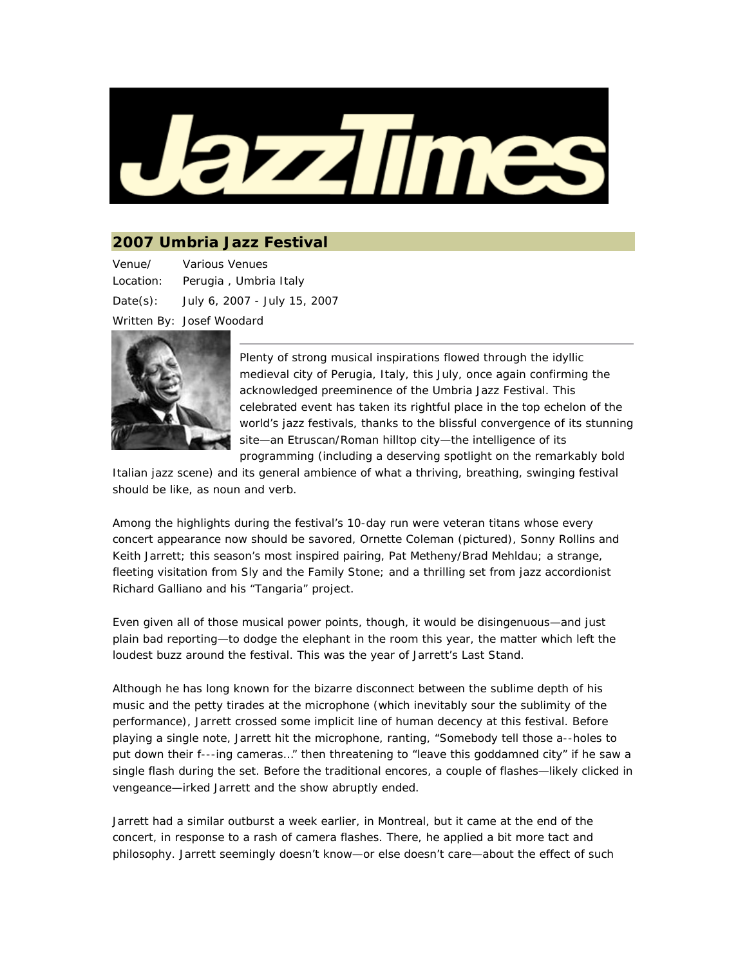

## **2007 Umbria Jazz Festival**

Venue/ Location: Various Venues Perugia , Umbria Italy Date(s): July 6, 2007 - July 15, 2007 Written By: Josef Woodard



Plenty of strong musical inspirations flowed through the idyllic medieval city of Perugia, Italy, this July, once again confirming the acknowledged preeminence of the Umbria Jazz Festival. This celebrated event has taken its rightful place in the top echelon of the world's jazz festivals, thanks to the blissful convergence of its stunning site—an Etruscan/Roman hilltop city—the intelligence of its programming (including a deserving spotlight on the remarkably bold

Italian jazz scene) and its general ambience of what a thriving, breathing, swinging *festival* should be like, as noun and verb.

Among the highlights during the festival's 10-day run were veteran titans whose every concert appearance now should be savored, Ornette Coleman (pictured), Sonny Rollins and Keith Jarrett; this season's most inspired pairing, Pat Metheny/Brad Mehldau; a strange, fleeting visitation from Sly and the Family Stone; and a thrilling set from jazz accordionist Richard Galliano and his "Tangaria" project.

Even given all of those musical power points, though, it would be disingenuous—and just plain bad reporting—to dodge the elephant in the room this year, the matter which left the loudest buzz around the festival. This was the year of Jarrett's Last Stand.

Although he has long known for the bizarre disconnect between the sublime depth of his music and the petty tirades at the microphone (which inevitably sour the sublimity of the performance), Jarrett crossed some implicit line of human decency at this festival. Before playing a single note, Jarrett hit the microphone, ranting, "Somebody tell those a--holes to put down their f---ing cameras…" then threatening to "leave this goddamned city" if he saw a single flash during the set. Before the traditional encores, a couple of flashes—likely clicked in vengeance—irked Jarrett and the show abruptly ended.

Jarrett had a similar outburst a week earlier, in Montreal, but it came at the end of the concert, in response to a rash of camera flashes. There, he applied a bit more tact and philosophy. Jarrett seemingly doesn't know—or else doesn't care—about the effect of such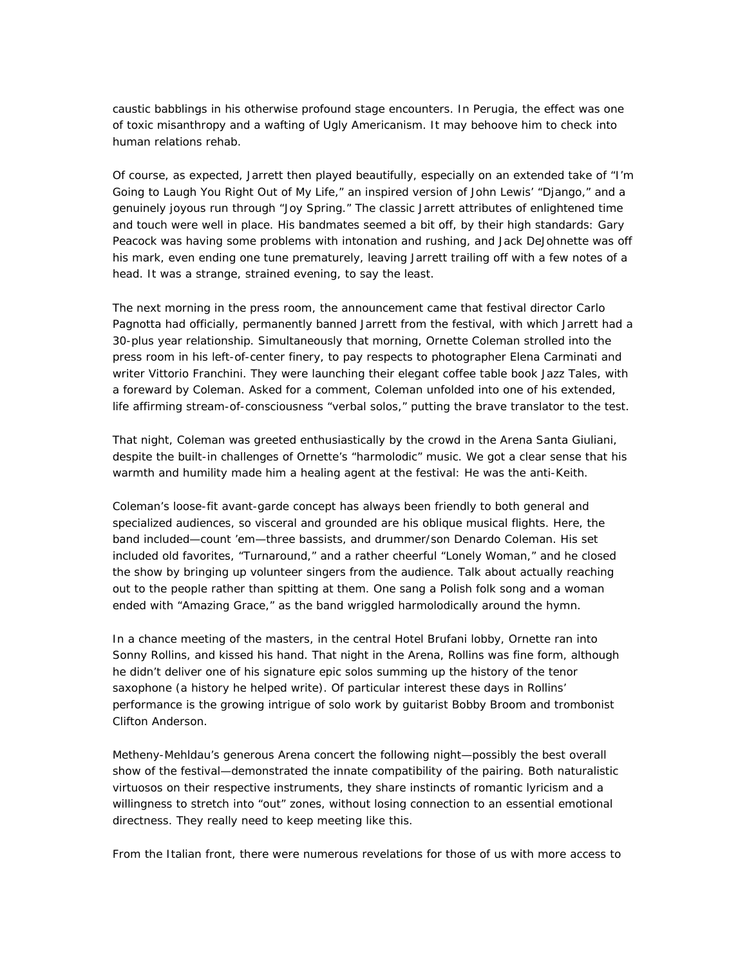caustic babblings in his otherwise profound stage encounters. In Perugia, the effect was one of toxic misanthropy and a wafting of Ugly Americanism. It may behoove him to check into human relations rehab.

Of course, as expected, Jarrett then played beautifully, especially on an extended take of "I'm Going to Laugh You Right Out of My Life," an inspired version of John Lewis' "Django," and a genuinely joyous run through "Joy Spring." The classic Jarrett attributes of enlightened time and touch were well in place. His bandmates seemed a bit off, by their high standards: Gary Peacock was having some problems with intonation and rushing, and Jack DeJohnette was off his mark, even ending one tune prematurely, leaving Jarrett trailing off with a few notes of a head. It was a strange, strained evening, to say the least.

The next morning in the press room, the announcement came that festival director Carlo Pagnotta had officially, permanently banned Jarrett from the festival, with which Jarrett had a 30-plus year relationship. Simultaneously that morning, Ornette Coleman strolled into the press room in his left-of-center finery, to pay respects to photographer Elena Carminati and writer Vittorio Franchini. They were launching their elegant coffee table book *Jazz Tales*, with a foreward by Coleman. Asked for a comment, Coleman unfolded into one of his extended, life affirming stream-of-consciousness "verbal solos," putting the brave translator to the test.

That night, Coleman was greeted enthusiastically by the crowd in the Arena Santa Giuliani, despite the built-in challenges of Ornette's "harmolodic" music. We got a clear sense that his warmth and humility made him a healing agent at the festival: He was the anti-Keith.

Coleman's loose-fit avant-garde concept has always been friendly to both general and specialized audiences, so visceral and grounded are his oblique musical flights. Here, the band included—count 'em—three bassists, and drummer/son Denardo Coleman. His set included old favorites, "Turnaround," and a rather cheerful "Lonely Woman," and he closed the show by bringing up volunteer singers from the audience. Talk about actually reaching out to the people rather than spitting at them. One sang a Polish folk song and a woman ended with "Amazing Grace," as the band wriggled harmolodically around the hymn.

In a chance meeting of the masters, in the central Hotel Brufani lobby, Ornette ran into Sonny Rollins, and kissed his hand. That night in the Arena, Rollins was fine form, although he didn't deliver one of his signature epic solos summing up the history of the tenor saxophone (a history he helped write). Of particular interest these days in Rollins' performance is the growing intrigue of solo work by guitarist Bobby Broom and trombonist Clifton Anderson.

Metheny-Mehldau's generous Arena concert the following night—possibly the best overall show of the festival—demonstrated the innate compatibility of the pairing. Both naturalistic virtuosos on their respective instruments, they share instincts of romantic lyricism and a willingness to stretch into "out" zones, without losing connection to an essential emotional directness. They really need to keep meeting like this.

From the Italian front, there were numerous revelations for those of us with more access to